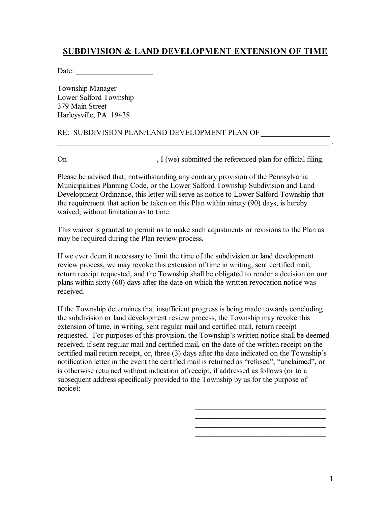## **SUBDIVISION & LAND DEVELOPMENT EXTENSION OF TIME**

Date:

Township Manager Lower Salford Township 379 Main Street Harleysville, PA 19438

## RE: SUBDIVISION PLAN/LAND DEVELOPMENT PLAN OF \_\_\_\_\_\_\_\_\_\_\_\_\_\_\_\_\_\_\_\_\_\_\_\_\_\_\_\_\_\_\_\_\_\_

On  $\qquad \qquad$  I (we) submitted the referenced plan for official filing.

 $\mathcal{L}_\text{max}$  , and the contribution of the contribution of the contribution of the contribution of the contribution of the contribution of the contribution of the contribution of the contribution of the contribution of t

Please be advised that, notwithstanding any contrary provision of the Pennsylvania Municipalities Planning Code, or the Lower Salford Township Subdivision and Land Development Ordinance, this letter will serve as notice to Lower Salford Township that the requirement that action be taken on this Plan within ninety (90) days, is hereby waived, without limitation as to time.

This waiver is granted to permit us to make such adjustments or revisions to the Plan as may be required during the Plan review process.

If we ever deem it necessary to limit the time of the subdivision or land development review process, we may revoke this extension of time in writing, sent certified mail, return receipt requested, and the Township shall be obligated to render a decision on our plans within sixty (60) days after the date on which the written revocation notice was received.

If the Township determines that insufficient progress is being made towards concluding the subdivision or land development review process, the Township may revoke this extension of time, in writing, sent regular mail and certified mail, return receipt requested. For purposes of this provision, the Township's written notice shall be deemed received, if sent regular mail and certified mail, on the date of the written receipt on the certified mail return receipt, or, three (3) days after the date indicated on the Township's notification letter in the event the certified mail is returned as "refused", "unclaimed", or is otherwise returned without indication of receipt, if addressed as follows (or to a subsequent address specifically provided to the Township by us for the purpose of notice):

 $\overline{\phantom{a}}$  , and the set of the set of the set of the set of the set of the set of the set of the set of the set of the set of the set of the set of the set of the set of the set of the set of the set of the set of the s  $\frac{1}{2}$  ,  $\frac{1}{2}$  ,  $\frac{1}{2}$  ,  $\frac{1}{2}$  ,  $\frac{1}{2}$  ,  $\frac{1}{2}$  ,  $\frac{1}{2}$  ,  $\frac{1}{2}$  ,  $\frac{1}{2}$  ,  $\frac{1}{2}$  ,  $\frac{1}{2}$  ,  $\frac{1}{2}$  ,  $\frac{1}{2}$  ,  $\frac{1}{2}$  ,  $\frac{1}{2}$  ,  $\frac{1}{2}$  ,  $\frac{1}{2}$  ,  $\frac{1}{2}$  ,  $\frac{1$ 

 $\mathcal{L}_\mathcal{L}$  , which is a set of the set of the set of the set of the set of the set of the set of the set of the set of the set of the set of the set of the set of the set of the set of the set of the set of the set of